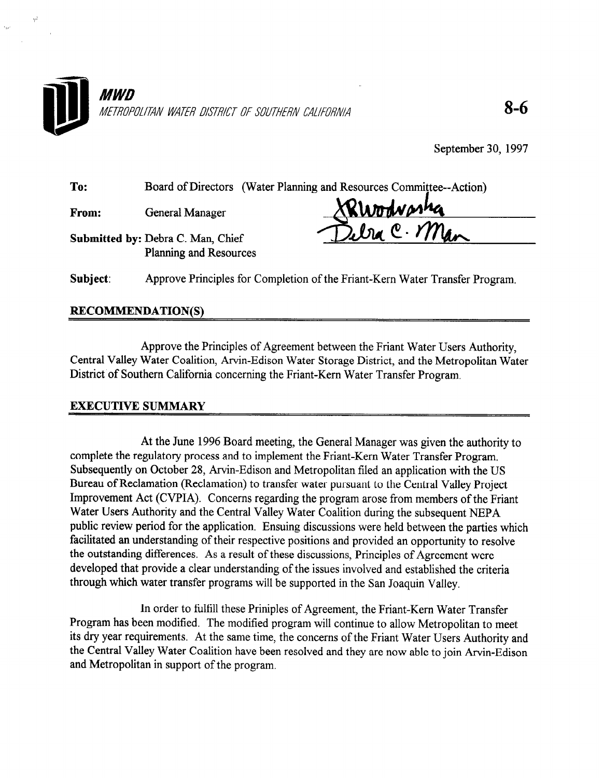

To: Board of Directors (Water Planning and Resources Committee--Action)

From: General Manager

Submitted by: Debra C. Man, Chief Planning and Resources

Rwodwasha<br>Wa C. Man

Subject: Approve Principles for Completion of the Friant-Kern Water Transfer Program,

## RECOMMENDATION(S)

Approve the Principles of Agreement between the Friant Water Users Authority, Central Valley Water Coalition, Arvin-Edison Water Storage District, and the Metropolitan Water District of Southern California concerning the Friant-Kern Water Transfer Program.

## EXECUTIVE SUMMARY

At the June 1996 Board meeting, the General Manager was given the authority to complete the regulatory process and to implement the Friant-Kern Water Transfer Program. Subsequently on October 28, Arvin-Edison and Metropolitan filed an application with the US Bureau of Reclamation (Reclamation) to transfer water pursuant to the Central Valley Project Improvement Act (CVPIA). Concerns regarding the program arose from members of the Friant Water Users Authority and the Central Valley Water Coalition during the subsequent NEPA public review period for the application. Ensuing discussions were held between the parties which facilitated an understanding of their respective positions and provided an opportunity to resolve the outstanding differences. As a result of these discussions, Principles of Agreement were developed that provide a clear understanding of the issues involved and established the criteria through which water transfer programs will be supported in the San Joaquin Valley.

In order to fulfill these Priniples of Agreement, the Friant-Kern Water Transfer Program has been modified. The modified program will continue to allow Metropolitan to meet its dry year requirements. At the same time, the concerns of the Friant Water Users Authority and the Central Valley Water Coalition have been resolved and they are now able to join Arvin-Edison and Metropolitan in support of the program.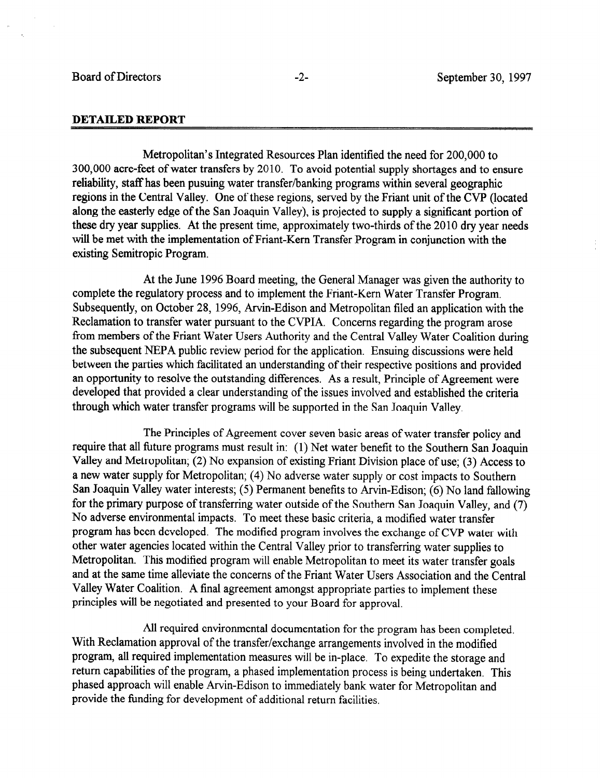## DETAILED REPORT

Metropolitan's Integrated Resources Plan identified the need for 200,000 to 300,000 acre-feet of water transfers by 2010. To avoid potential supply shortages and to ensure reliability, staff has been pusuing water transfer/banking programs within several geographic regions in the Central Valley. One of these regions, served by the Friant unit of the CVP (located along the easterly edge of the San Joaquin Valley), is projected to supply a significant portion of these dry year supplies. At the present time, approximately two-thirds of the 2010 dry year needs will be met with the implementation of Friant-Kern Transfer Program in conjunction with the existing Semitropic Program.

At the June 1996 Board meeting, the General Manager was given the authority to complete the regulatory process and to implement the Friant-Kern Water Transfer Program. Subsequently, on October 28, 1996, Arvin-Edison and Metropolitan filed an application with the Reclamation to transfer water pursuant to the CVPIA. Concerns regarding the program arose from members of the Friant Water Users Authority and the Central Valley Water Coalition during the subsequent NEPA public review period for the application. Ensuing discussions were held between the parties which facilitated an understanding of their respective positions and provided an opportunity to resolve the outstanding differences. As a result, Principle of Agreement were developed that provided a clear understanding of the issues involved and established the criteria through which water transfer programs will be supported in the San Joaquin Valley.

The Principles of Agreement cover seven basic areas of water transfer policy and require that all future programs must result in: (1) Net water benefit to the Southern San Joaquin Valley and Metropolitan; (2) No expansion of existing Friant Division place of use; (3) Access to a new water supply for Metropolitan; (4) No adverse water supply or cost impacts to Southern San Joaquin Valley water interests; (5) Permanent benefits to Arvin-Edison; (6) No land fallowing for the primary purpose of transferring water outside of the Southern San Joaquin Valley, and  $(7)$ No adverse environmental impacts. To meet these basic criteria, a modified water transfer program has been developed. The modified program involves the exchange of CVP water with other water agencies located within the Central Valley prior to transferring water supplies to Metropolitan. This modified program will enable Metropolitan to meet its water transfer goals and at the same time alleviate the concerns of the Friant Water Users Association and the Central Valley Water Coalition. A final agreement amongst appropriate parties to implement these principles will be negotiated and presented to your Board for approval.

All required environmental documentation for the program has been completed. With Reclamation approval of the transfer/exchange arrangements involved in the modified program, all required implementation measures will be in-place. To expedite the storage and return capabilities of the program, a phased implementation process is being undertaken. This phased approach will enable Arvin-Edison to immediately bank water for Metropolitan and provide the funding for development of additional return facilities.